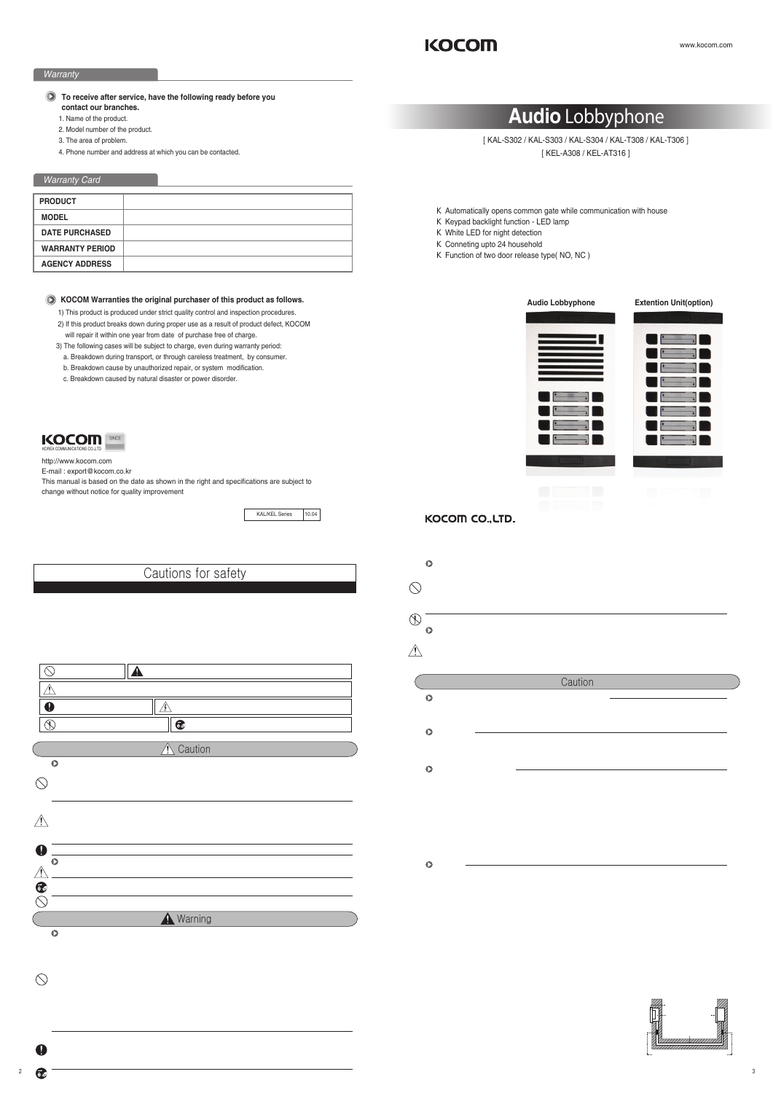# **Audio** Lobbyphone

[ KAL-S302 / KAL-S303 / KAL-S304 / KAL-T308 / KAL-T306 ] [ KEL-A308 / KEL-AT316 ]



http://www.kocom.com

E-mail : export@kocom.co.kr

This manual is based on the date as shown in the right and specifications are subject to change without notice for quality improvement

KAL/KEL Series 10.04

## *Warranty*

# *Warranty Card*

#### $\bigodot$ **To receive after service, have the following ready before you contact our branches.**

- 1) This product is produced under strict quality control and inspection procedures.
- 2) If this product breaks down during proper use as a result of product defect, KOCOM will repair it within one year from date of purchase free of charge.
- 3) The following cases will be subject to charge, even during warranty period:
- a. Breakdown during transport, or through careless treatment, by consumer.
- b. Breakdown cause by unauthorized repair, or system modification.
- c. Breakdown caused by natural disaster or power disorder.
- 1. Name of the product.
- 2. Model number of the product.
- 3. The area of problem.
- 4. Phone number and address at which you can be contacted.

To help our customers to understand this manual, to prevent any personal injury or property damage, some marks are used in the manual. The marks and the drawing signs are below. Please, understand the marks before reading the manual.

| <b>PRODUCT</b>         |  |
|------------------------|--|
| <b>MODEL</b>           |  |
| <b>DATE PURCHASED</b>  |  |
| <b>WARRANTY PERIOD</b> |  |
| <b>AGENCY ADDRESS</b>  |  |

- If you need assistance with the set-up or operation, please contact with A/S center.
- The important marks in the manual.

## **KOCOM Warranties the original purchaser of this product as follows.**

# KOCOM

 Automatically opens common gate while communication with house Keypad backlight function - LED lamp White LED for night detection Conneting upto 24 household Function of two door release type( NO, NC )



# KOCOM CO., LTD.

- Cautions for Use
- This unit is not designed for security purpose. <br>
 Do not handle the unit with the wet hands
- ·Do not place a pot with water or a small metal material on the Units. Do not cover the ventilating opening or put any metal material in the units.
- During thunderstorms, avoid using this unit. There may be a remote risk of an electric shock from lighting. Do not modify the unit. · Open the main gate after checking ID if the image and sound system do not work. Call A/S
- ·Do not disassemble the back and cabinet cover.
	- **C** Cautions for Abnormality

Change the damaged electric code.

# Cautions for safety

- ·Even if your product is water proof, do not install it slanted place of water leakage, which can a short circuit.
- The work of distributing wires needs skills and experiences. So please, for assistance, contact your dealer or call service center.

For safe use, please stick to the following cautions.

Please, save this manual after reading these instructions carefully. <br>Read and understand all instructions to set up rightly. This Cautions for Safety may include items that are not contained in specifications of the product that consumer purchases

·The communication lines should be built in being distant from the power source. This may result in the risk of fire, electric shock and communication disorder. Setting the communication lines in a high humid place such as outside without any protection from rain causes the communication disorder.

The meaning of the drawing signs.

| ) Sign to show what not to do<br>Mshandling the device with ignoring this sign may result in serious injury or death.                                                 |  |  |  |
|-----------------------------------------------------------------------------------------------------------------------------------------------------------------------|--|--|--|
| Mishandling the device with ignoring this sign may result physical injury or material damage.                                                                         |  |  |  |
| Sign to tell you that you should follow the instructions.   / sing to tell you that you need more attention including high voltages, electric shock, danger, warning) |  |  |  |
| Sign to tell you that you can't disassemble this unit    et sign to tell you that you must unplug the unit                                                            |  |  |  |

#### Cautions for set-up

 $\bigcirc$ ·Do not use liquid or aerosol cleaners. Use a damp cloth for cleaning

# **A** Warning

# **O** Warnings for Usage

Œ



**Caution** 

- If liquid has been spilled into the unit. **A:** If the unit does not work normally by following the operating instructions. If the unit exhibits a distinct change in performance. <br>
Fithe unit has been dropped or physically damaged.
	-
- Caution · Do not disassemble this unit at will as this device is composed by precision parts. · · Install the unit by following the set-up instructions of Kocom. Do not touch or insert any foreign substances, for example, sticker, magnetic, opener and the like ·Make U-type at the end of wires as the rain can effect on the system by following the wires during the rainy season. Safety Instructions, Warnings and Cautions of Each System Separate the AC/DC lines with the hook of the wall-mounted type when installing. <br>
Do not distribute signal line with AC line. Use the designed driver to connect the lines to terminal · Use the designed driver to connect the lines to terminal Do not clean the LCD with the damp cloth for cleaning. Use the only dry and soft cloth. <br>
IDo not install the main gate monitor at the leaking place. **O** Videophone ·This product is designed as a home videophone and cannot use continuously like monitor camera. If there is temperature difference between inner part of camera and surrounding, dew condensation occurs on camera lens and may disturb image If dew condensation is removed from camera lens, image quality recovers. **O** Things You Need to Know
	- White LED light examination range is narrower than camera shot range at night, so there is less amount of light at night than day So it is difficult to see the face in low illumination condition due to noise increase on screen, but it is not from defect.
	- ·Monitor screen (liquid crystal panel) is not in defect when some pixels always light or black out.

- Keep the hook at the wall-mounted device safe. The hook may cause the physical injury.
- Think about the thickness and quality of wall material. The unqualified material may make the device fall

Set the device of the wall-mounted type not to fall. Falling from an earthquake causes personal injury.

#### **C** Cautions for Repairs and Maintenance

Keep the inside of the device clean. Having the dust inside without any cleaning for a long time causes the fire. If necessary, contact your dealer or service center to get cleaning service

Unplug this device when you want to check the inside. If there is no plug, please, turn off the circuit breaker.

Unplug this device when you try to move it to another place. If the electric line is connected inside of the unit, please contact your dealer or service center.

- ·Do not install this unit near the water and dust, for example, in a bathroom or near the washing machine. It caused fire and electric shock.
- Do not install this unit near the fire, for example, near kitchen sink, heater or the like.
- Do not install near the noxious gar such as Hydrogen Sulfide, metal power and the like
- Do not install near the water and chemicals.
- Do not give any damage, break and modify the plug. Overloading, heating, pulling causes the damage
- Do not place the plug near the heater. The damaged code causes fire and electric shock. Do not pull the power code when unplugging The damaged code causes fire and eclectic shock. Must pull with plug. Do not touch with wet hands. It causes the electric shock
- Do not use any other voltage, except the marked regular voltage.
- Do not use the power terminal at the units to other electric device except the designed device.
- Do not install the units at the leaking place if it doesn' thave any waterproof mark. Do not install the unit when the power is on.
- ·Install the circuit breaker after checking the safety such as electric shock and leakage. Turn off the power before you install or A/S
- Check the suitability of the lines for installing when you use the exiting lines.
- Do the wiring work by using the designed material
- Connect the electric wire with the designed ways and ground.
- ·Do not connect with any other devices except the designed devices to compose the system.

Unplug electric wire and communication lines from the units before moving to another place.

se install monitor and camera over 5cm away. Also, avoid installing at a place with too much noise, because too much noise around camera causes phone call inferiority. Do not place an object within 20cm in front of monitor. It causes phone call inferiority, especially because microphone is installed at the top of monitor If strong light such as sunlight flows into camera module, screen saturation (or strange mark) and image shaking might occur.

This is not a defect, so please do not install camera where a direct ray of light do not flow if possible.

# Cautions

In some cases there is occurrence of product destruction, malfunction, noise mixing and picture quality deterioration due to mixing of other tool's induced voltage or thunder with communication wiring of monitor/camera, monitor/extended monitor.

- ·Do not ever disjoint this product. It may cause electrocution accident when touching high-voltage circuit inside this product.
- ·Outside power authorizing this product must be confirmed of product description and use rated voltage. Beware that if higher voltage is authorized, unfixable damage might be caused due to product destruction.
- Power must be connected to domestic voltage (product rated voltage) consent or interior wiring.
- If connected to other motive power or inverter-type power, product destruction, noise mixing, and picture distortion may occur.
- Do not drop this product. Glass is used for monitor and might break, or cause other circuit inferior
- In such case, immediately turn down the power switch, and call to consult agency or store in which this product was purchased.
- ·If installed near transmission antenna such as broadcasting station, electric wave may mix and cause picture distortion or voice mixing.
- Avoid installing near tools with strong electromagnetic waves such as microwaves and cell phones, or it may cause picture distortion.
- 

Do not install monitor in following places.<br>Above or around water heater, rice-cooker, heater Place with high humidity such as bathroom, washroom, heated room

Place exposed to direct rays of the sun <br>
Place with temperature below 0'C such as cold store

Place with a lot of gas, dust, smoke Dangerous place with sprays of water or chemicals Do not wipe with insecticide, drugs or chemicals such as thinner and alcohol, or it may damage the surface of this product

Beware of occurrence of image quality deterioration or malfunction from cause of humidity due to penetration of chemicals or water into camera's urea resins.

When product is installed in winter below - 5'C, wait for approximately 2 hours to connect. Dew formation in monitor and camera due to temperature difference inside and outside may cause product defect. a construction and communication lines from the unito before monitor to enchangeless and camera in place directly exposed to heat or where gas noxiousness is a proven unit and camera in and camera in place directly exposed highly occurring.

·Unplug this unit from plug socket and refer servicing to an authorized service center when the following conditions occur:

Do not wire with power line such as outdoor wiring or AC power, or phones and other tools.

·You cannot use it if you incorrectly wire the AC voltage between monitor/camera, monitor/extended monitor. Call the store or agency where you purchased this product and consult to solve the problem.

Beware that unfixable damage might be caused due to authorizing AC voltage on communication wiring of monitor/camera, monitor/extended monitor.

·As in the picture, it prevents temperature difference of camera (outside) and monitor (inside), and removes dew condensation caused by humidity of camera window.

·Camera must be installed when wall cement is completely dry.